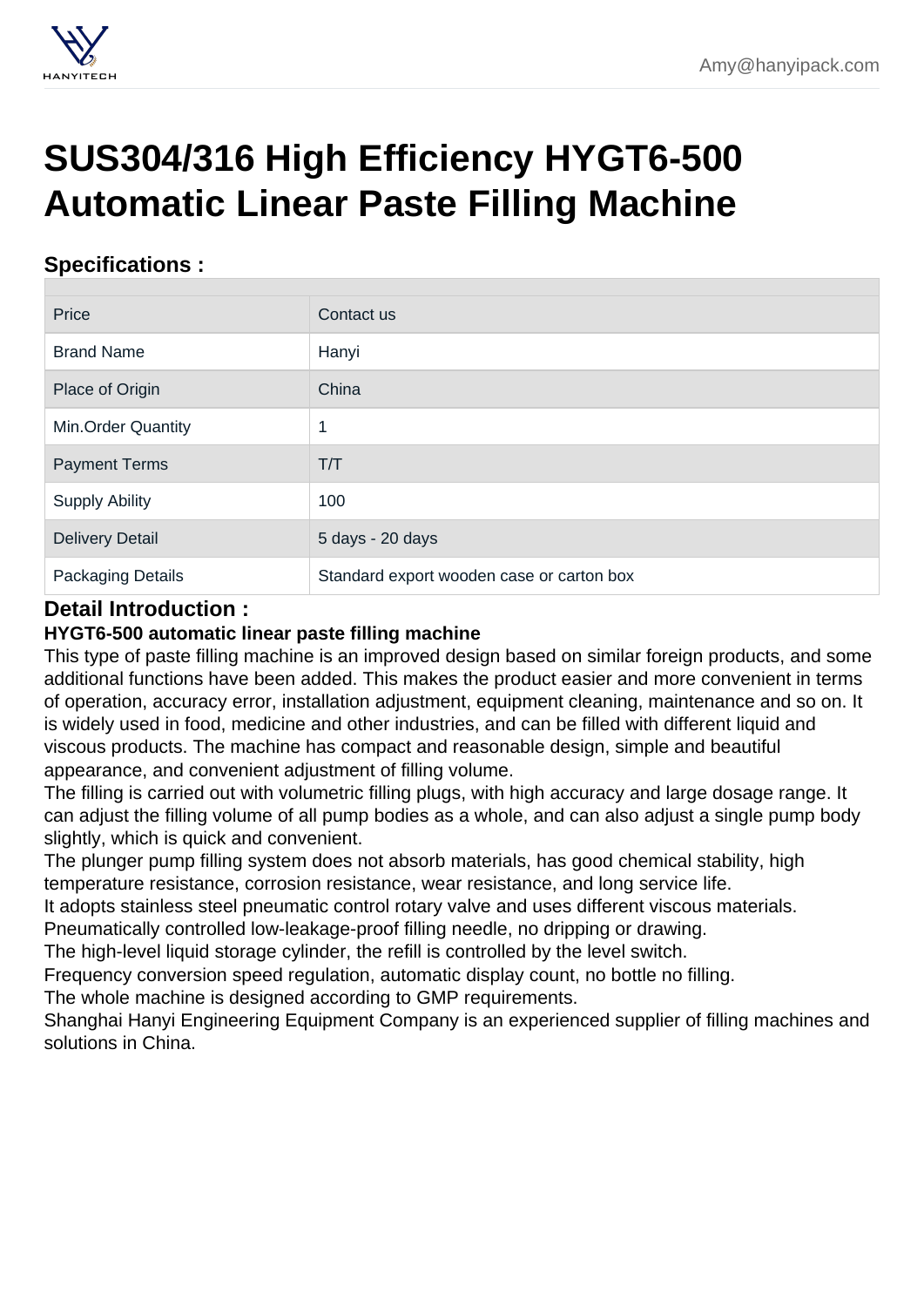## [SUS304/316 High Efficiency HYGT6-500](https://hanyipack.com/linear-filling-machine/1hygt6-500-automatic-linear-paste-filling-machine.html) Automatic Linear Paste Filling Machine

## Specifications :

| Price                  | Contact us                                |
|------------------------|-------------------------------------------|
| <b>Brand Name</b>      | Hanyi                                     |
| Place of Origin        | China                                     |
| Min.Order Quantity     | и                                         |
| <b>Payment Terms</b>   | T/T                                       |
| <b>Supply Ability</b>  | 100                                       |
| <b>Delivery Detail</b> | 5 days - 20 days                          |
| Packaging Details      | Standard export wooden case or carton box |

## Detail Introduction :

HYGT6-500 automatic linear paste filling machine

This type of paste filling machine is an improved design based on similar foreign products, and some additional functions have been added. This makes the product easier and more convenient in terms of operation, accuracy error, installation adjustment, equipment cleaning, maintenance and so on. It is widely used in food, medicine and other industries, and can be filled with different liquid and viscous products. The machine has compact and reasonable design, simple and beautiful appearance, and convenient adjustment of filling volume.

The filling is carried out with volumetric filling plugs, with high accuracy and large dosage range. It can adjust the filling volume of all pump bodies as a whole, and can also adjust a single pump body slightly, which is quick and convenient.

The plunger pump filling system does not absorb materials, has good chemical stability, high temperature resistance, corrosion resistance, wear resistance, and long service life.

It adopts stainless steel pneumatic control rotary valve and uses different viscous materials.

Pneumatically controlled low-leakage-proof filling needle, no dripping or drawing.

The high-level liquid storage cylinder, the refill is controlled by the level switch.

Frequency conversion speed regulation, automatic display count, no bottle no filling.

The whole machine is designed according to GMP requirements.

Shanghai Hanyi Engineering Equipment Company is an experienced supplier of filling machines and solutions in China.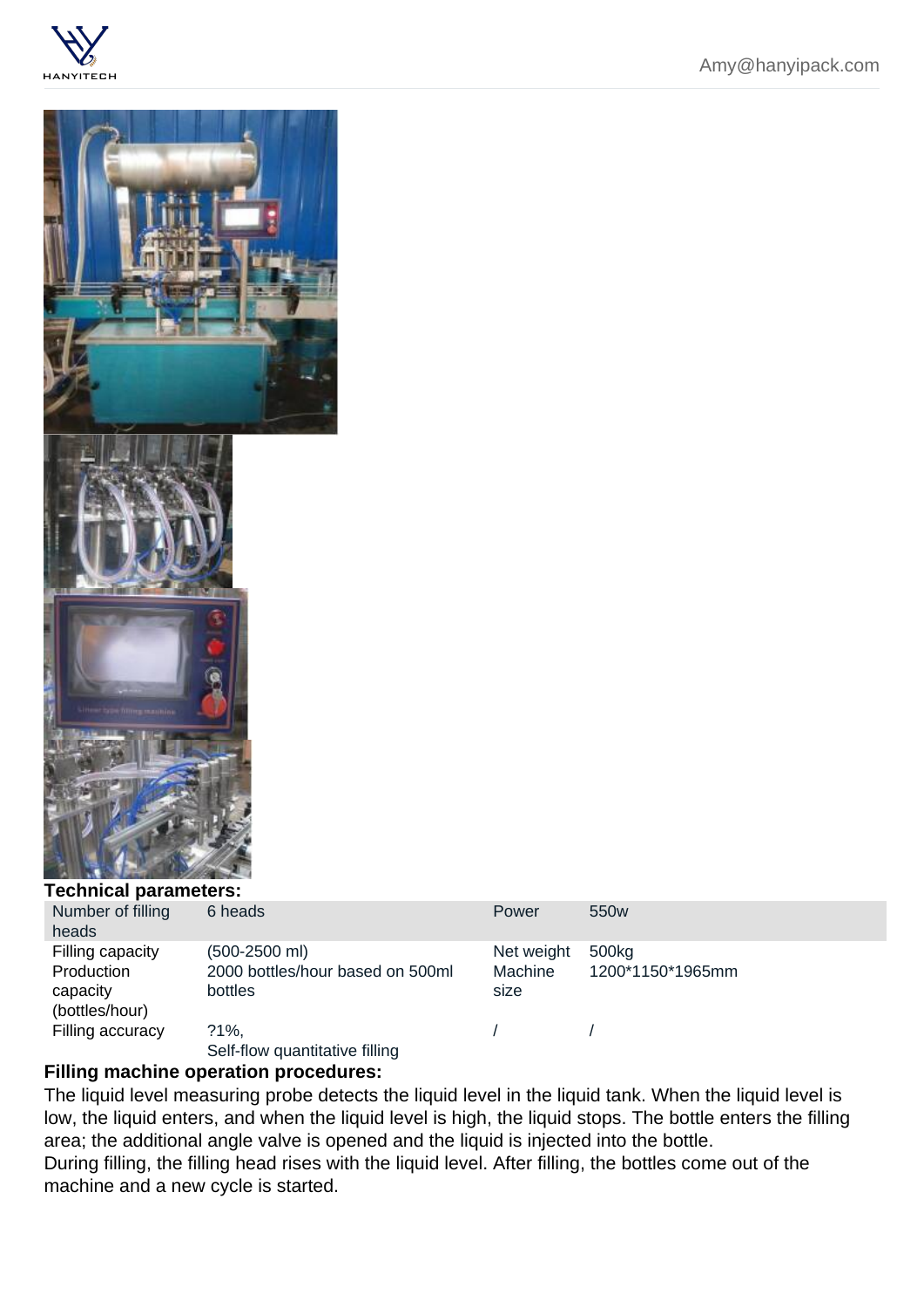## Technical parameters:

| Number of filling<br>heads | 6 heads                          | Power      | 550 <sub>w</sub> |
|----------------------------|----------------------------------|------------|------------------|
| Filling capacity           | $(500-2500$ ml)                  | Net weight | 500kg            |
| Production                 | 2000 bottles/hour based on 500ml | Machine    | 1200*1150*1965mm |
| capacity                   | bottles                          | size       |                  |
| (bottles/hour)             |                                  |            |                  |
| Filling accuracy           | $?1\%$ ,                         |            |                  |
|                            | Self-flow quantitative filling   |            |                  |

Filling machine operation procedures:

The liquid level measuring probe detects the liquid level in the liquid tank. When the liquid level is low, the liquid enters, and when the liquid level is high, the liquid stops. The bottle enters the filling area; the additional angle valve is opened and the liquid is injected into the bottle.

During filling, the filling head rises with the liquid level. After filling, the bottles come out of the machine and a new cycle is started.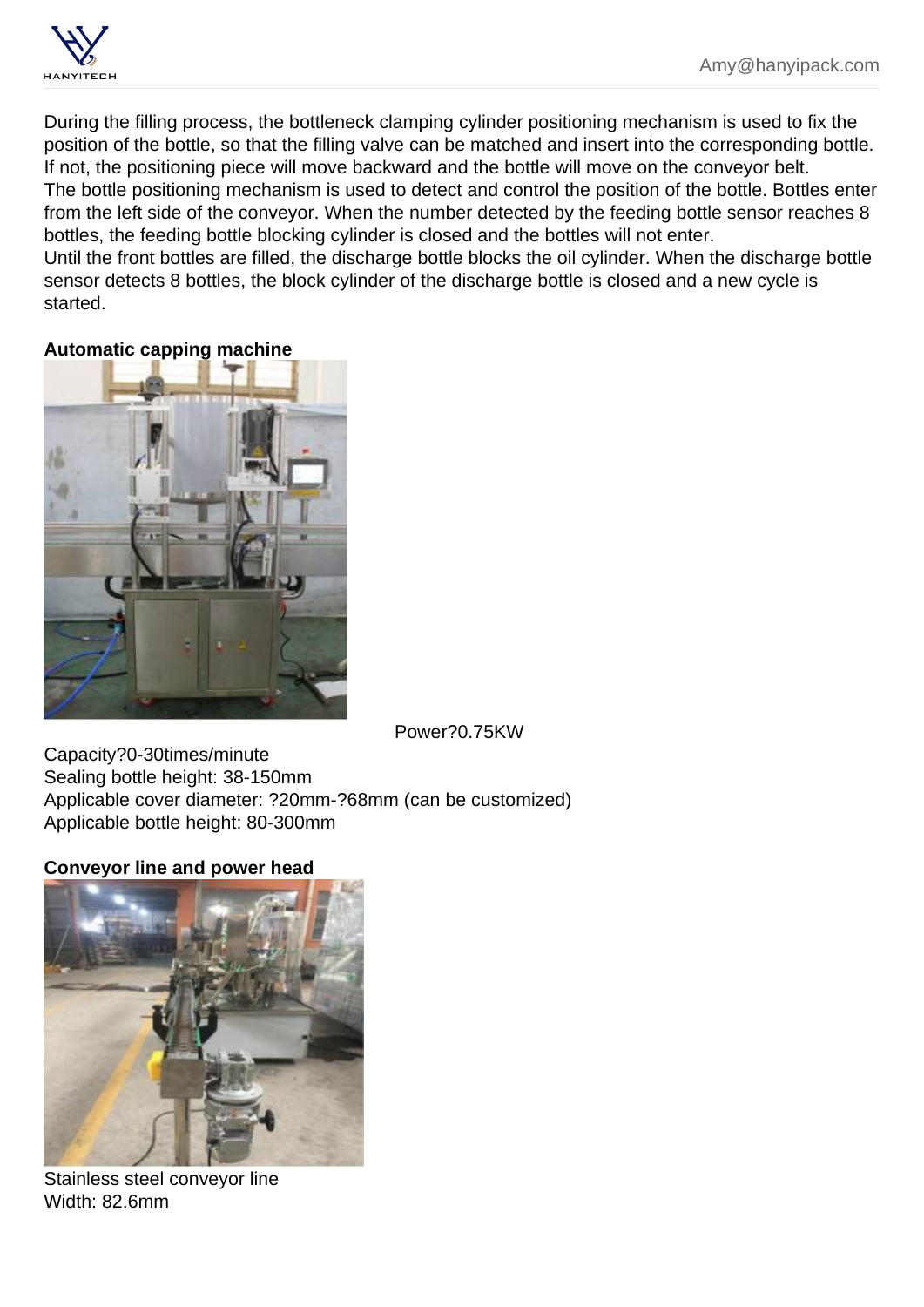During the filling process, the bottleneck clamping cylinder positioning mechanism is used to fix the position of the bottle, so that the filling valve can be matched and insert into the corresponding bottle. If not, the positioning piece will move backward and the bottle will move on the conveyor belt. The bottle positioning mechanism is used to detect and control the position of the bottle. Bottles enter from the left side of the conveyor. When the number detected by the feeding bottle sensor reaches 8 bottles, the feeding bottle blocking cylinder is closed and the bottles will not enter. Until the front bottles are filled, the discharge bottle blocks the oil cylinder. When the discharge bottle sensor detects 8 bottles, the block cylinder of the discharge bottle is closed and a new cycle is started.

Automatic capping machine

Power?0.75KW

Capacity?0-30times/minute Sealing bottle height: 38-150mm Applicable cover diameter: ?20mm-?68mm (can be customized) Applicable bottle height: 80-300mm

Conveyor line and power head

Stainless steel conveyor line Width: 82.6mm